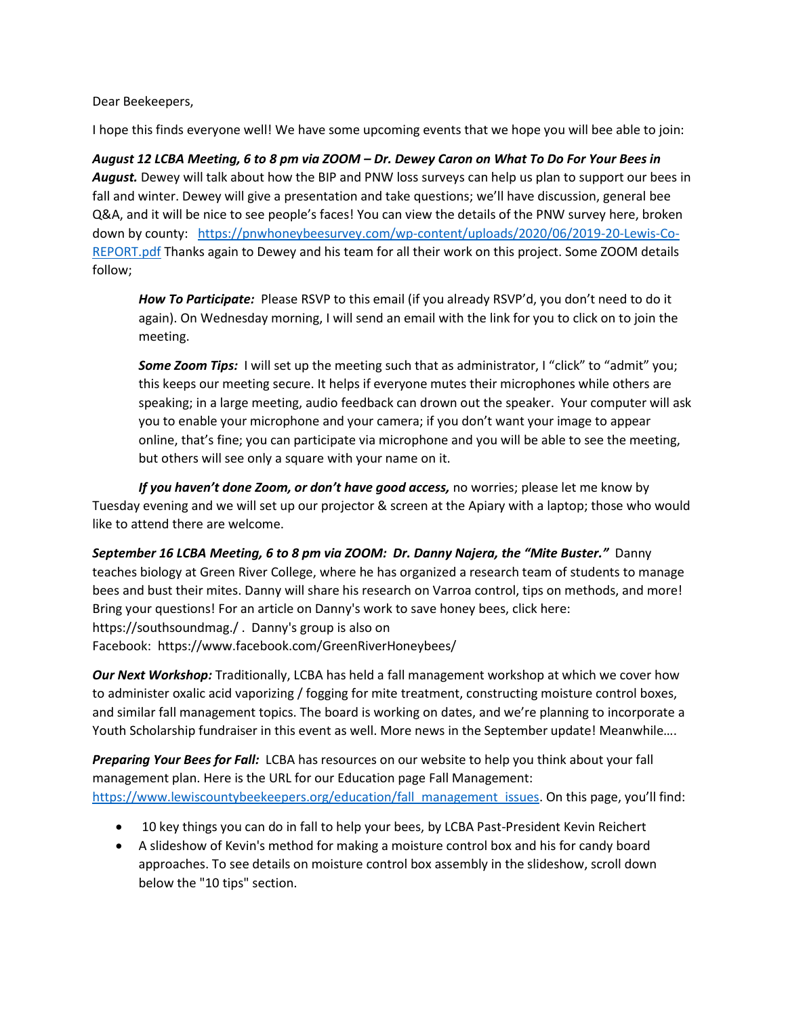Dear Beekeepers,

I hope this finds everyone well! We have some upcoming events that we hope you will bee able to join:

*August 12 LCBA Meeting, 6 to 8 pm via ZOOM – Dr. Dewey Caron on What To Do For Your Bees in August.* Dewey will talk about how the BIP and PNW loss surveys can help us plan to support our bees in fall and winter. Dewey will give a presentation and take questions; we'll have discussion, general bee Q&A, and it will be nice to see people's faces! You can view the details of the PNW survey here, broken down by county: [https://pnwhoneybeesurvey.com/wp-content/uploads/2020/06/2019-20-Lewis-Co-](https://pnwhoneybeesurvey.com/wp-content/uploads/2020/06/2019-20-Lewis-Co-REPORT.pdf)[REPORT.pdf](https://pnwhoneybeesurvey.com/wp-content/uploads/2020/06/2019-20-Lewis-Co-REPORT.pdf) Thanks again to Dewey and his team for all their work on this project. Some ZOOM details follow;

*How To Participate:* Please RSVP to this email (if you already RSVP'd, you don't need to do it again). On Wednesday morning, I will send an email with the link for you to click on to join the meeting.

*Some Zoom Tips:* I will set up the meeting such that as administrator, I "click" to "admit" you; this keeps our meeting secure. It helps if everyone mutes their microphones while others are speaking; in a large meeting, audio feedback can drown out the speaker. Your computer will ask you to enable your microphone and your camera; if you don't want your image to appear online, that's fine; you can participate via microphone and you will be able to see the meeting, but others will see only a square with your name on it.

If you haven't done Zoom, or don't have good access, no worries; please let me know by Tuesday evening and we will set up our projector & screen at the Apiary with a laptop; those who would like to attend there are welcome.

*September 16 LCBA Meeting, 6 to 8 pm via ZOOM: Dr. Danny Najera, the "Mite Buster."* Danny teaches biology at Green River College, where he has organized a research team of students to manage bees and bust their mites. Danny will share his research on Varroa control, tips on methods, and more! Bring your questions! For an article on Danny's work to save honey bees, click here: https://southsoundmag./ . Danny's group is also on Facebook: https://www.facebook.com/GreenRiverHoneybees/

*Our Next Workshop:* Traditionally, LCBA has held a fall management workshop at which we cover how to administer oxalic acid vaporizing / fogging for mite treatment, constructing moisture control boxes, and similar fall management topics. The board is working on dates, and we're planning to incorporate a Youth Scholarship fundraiser in this event as well. More news in the September update! Meanwhile….

*Preparing Your Bees for Fall:* LCBA has resources on our website to help you think about your fall management plan. Here is the URL for our Education page Fall Management: [https://www.lewiscountybeekeepers.org/education/fall\\_management\\_issues](https://www.lewiscountybeekeepers.org/education/fall_management_issues). On this page, you'll find:

- 10 key things you can do in fall to help your bees, by LCBA Past-President Kevin Reichert
- A slideshow of Kevin's method for making a moisture control box and his for candy board approaches. To see details on moisture control box assembly in the slideshow, scroll down below the "10 tips" section.